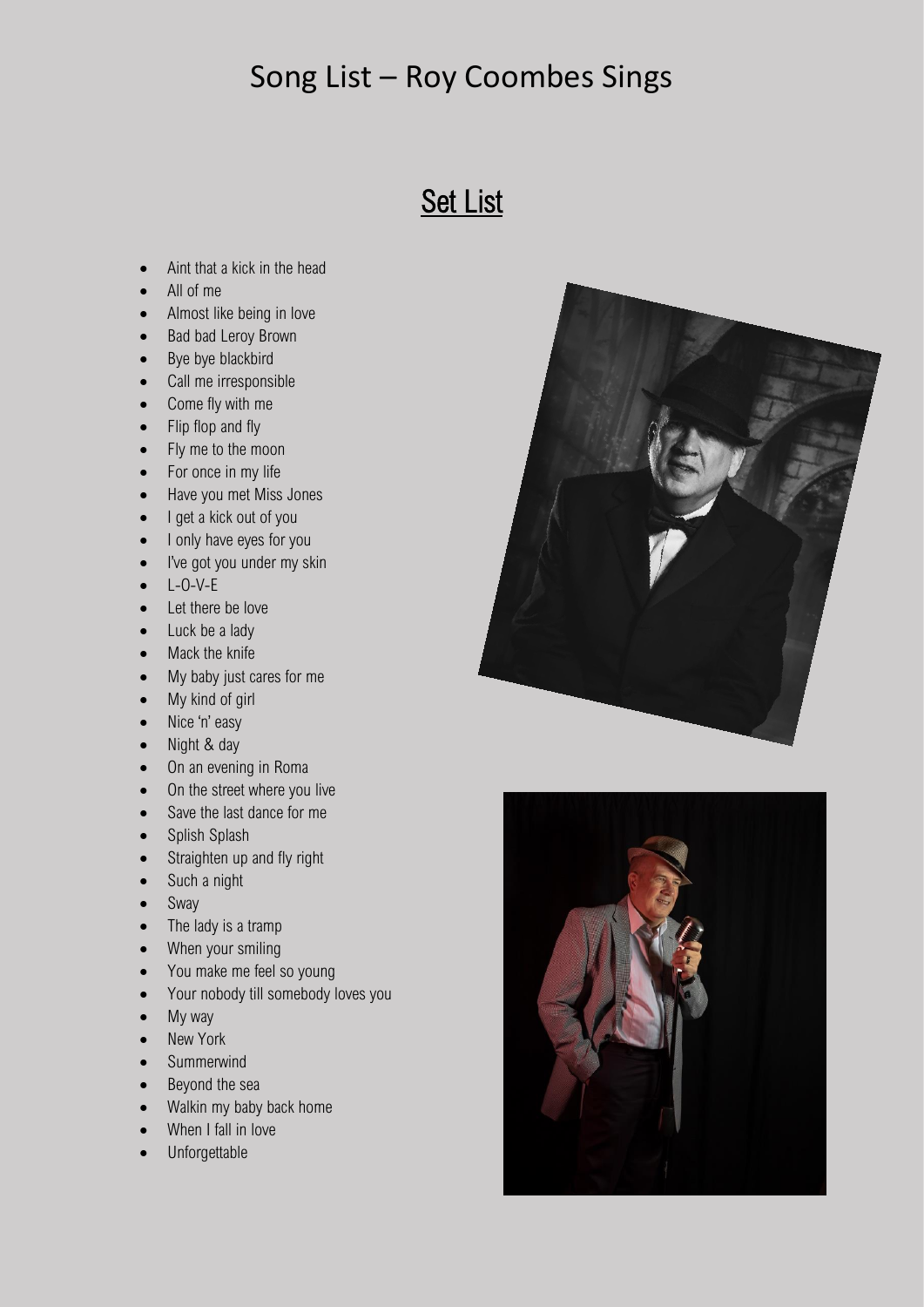#### Song List – Roy Coombes Sings

### **Set List**

- Aint that a kick in the head
- All of me
- Almost like being in love
- Bad bad Leroy Brown
- Bye bye blackbird
- Call me irresponsible
- Come fly with me
- Flip flop and fly
- Fly me to the moon
- For once in my life
- Have you met Miss Jones
- I get a kick out of you
- I only have eyes for you
- I've got you under my skin
- $\bullet$  L-O-V-F
- Let there be love
- Luck be a lady
- Mack the knife
- My baby just cares for me
- My kind of girl
- Nice 'n' easy
- Night & day
- On an evening in Roma
- On the street where you live
- Save the last dance for me
- Splish Splash
- Straighten up and fly right
- Such a night
- Sway
- The lady is a tramp
- When your smiling
- You make me feel so young
- Your nobody till somebody loves you
- My way
- New York
- Summerwind
- Beyond the sea
- Walkin my baby back home
- When I fall in love
- Unforgettable